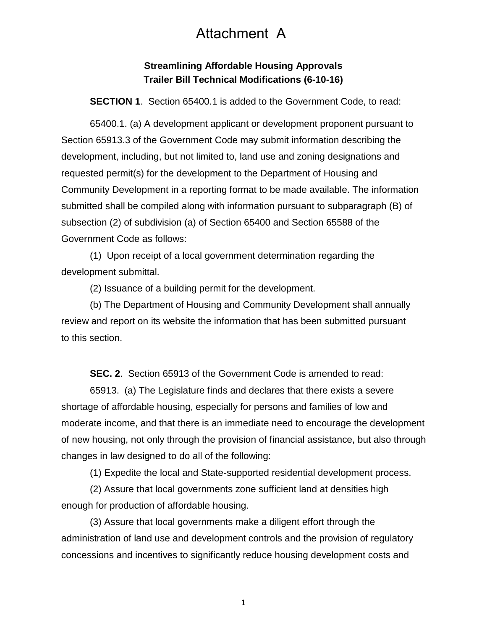## Attachment A

## **Streamlining Affordable Housing Approvals Trailer Bill Technical Modifications (6-10-16)**

**SECTION 1**. Section 65400.1 is added to the Government Code, to read:

65400.1. (a) A development applicant or development proponent pursuant to Section 65913.3 of the Government Code may submit information describing the development, including, but not limited to, land use and zoning designations and requested permit(s) for the development to the Department of Housing and Community Development in a reporting format to be made available. The information submitted shall be compiled along with information pursuant to subparagraph (B) of subsection (2) of subdivision (a) of Section 65400 and Section 65588 of the Government Code as follows:

(1) Upon receipt of a local government determination regarding the development submittal.

(2) Issuance of a building permit for the development.

(b) The Department of Housing and Community Development shall annually review and report on its website the information that has been submitted pursuant to this section.

**SEC. 2**. Section 65913 of the Government Code is amended to read:

65913. (a) The Legislature finds and declares that there exists a severe shortage of affordable housing, especially for persons and families of low and moderate income, and that there is an immediate need to encourage the development of new housing, not only through the provision of financial assistance, but also through changes in law designed to do all of the following:

(1) Expedite the local and State-supported residential development process.

(2) Assure that local governments zone sufficient land at densities high enough for production of affordable housing.

(3) Assure that local governments make a diligent effort through the administration of land use and development controls and the provision of regulatory concessions and incentives to significantly reduce housing development costs and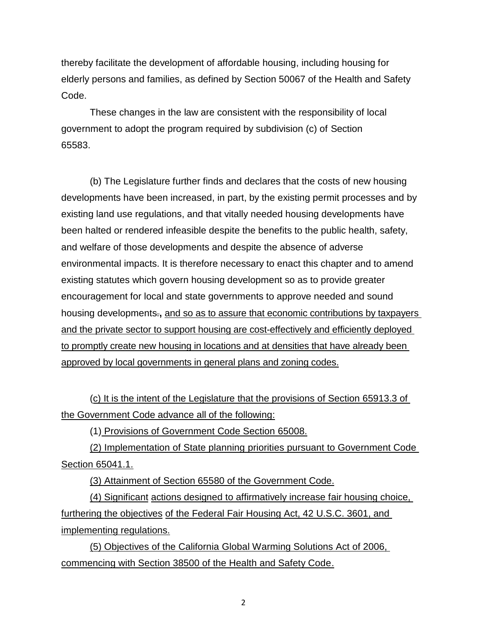thereby facilitate the development of affordable housing, including housing for elderly persons and families, as defined by Section 50067 of the Health and Safety Code.

These changes in the law are consistent with the responsibility of local government to adopt the program required by subdivision (c) of Section 65583.

(b) The Legislature further finds and declares that the costs of new housing developments have been increased, in part, by the existing permit processes and by existing land use regulations, and that vitally needed housing developments have been halted or rendered infeasible despite the benefits to the public health, safety, and welfare of those developments and despite the absence of adverse environmental impacts. It is therefore necessary to enact this chapter and to amend existing statutes which govern housing development so as to provide greater encouragement for local and state governments to approve needed and sound housing developments.**,** and so as to assure that economic contributions by taxpayers and the private sector to support housing are cost-effectively and efficiently deployed to promptly create new housing in locations and at densities that have already been approved by local governments in general plans and zoning codes.

(c) It is the intent of the Legislature that the provisions of Section 65913.3 of the Government Code advance all of the following:

(1) Provisions of Government Code Section 65008.

(2) Implementation of State planning priorities pursuant to Government Code Section 65041.1.

(3) Attainment of Section 65580 of the Government Code.

(4) Significant actions designed to affirmatively increase fair housing choice, furthering the objectives of the Federal Fair Housing Act, 42 U.S.C. 3601, and implementing regulations.

(5) Objectives of the California Global Warming Solutions Act of 2006, commencing with Section 38500 of the Health and Safety Code.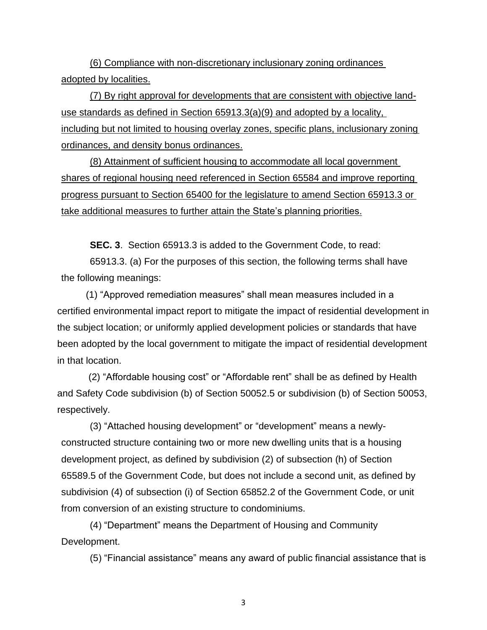(6) Compliance with non-discretionary inclusionary zoning ordinances adopted by localities.

(7) By right approval for developments that are consistent with objective landuse standards as defined in Section 65913.3(a)(9) and adopted by a locality, including but not limited to housing overlay zones, specific plans, inclusionary zoning ordinances, and density bonus ordinances.

(8) Attainment of sufficient housing to accommodate all local government shares of regional housing need referenced in Section 65584 and improve reporting progress pursuant to Section 65400 for the legislature to amend Section 65913.3 or take additional measures to further attain the State's planning priorities.

**SEC. 3**. Section 65913.3 is added to the Government Code, to read:

65913.3. (a) For the purposes of this section, the following terms shall have the following meanings:

(1) "Approved remediation measures" shall mean measures included in a certified environmental impact report to mitigate the impact of residential development in the subject location; or uniformly applied development policies or standards that have been adopted by the local government to mitigate the impact of residential development in that location.

(2) "Affordable housing cost" or "Affordable rent" shall be as defined by Health and Safety Code subdivision (b) of Section 50052.5 or subdivision (b) of Section 50053, respectively.

(3) "Attached housing development" or "development" means a newlyconstructed structure containing two or more new dwelling units that is a housing development project, as defined by subdivision (2) of subsection (h) of Section 65589.5 of the Government Code, but does not include a second unit, as defined by subdivision (4) of subsection (i) of Section 65852.2 of the Government Code, or unit from conversion of an existing structure to condominiums.

(4) "Department" means the Department of Housing and Community Development.

(5) "Financial assistance" means any award of public financial assistance that is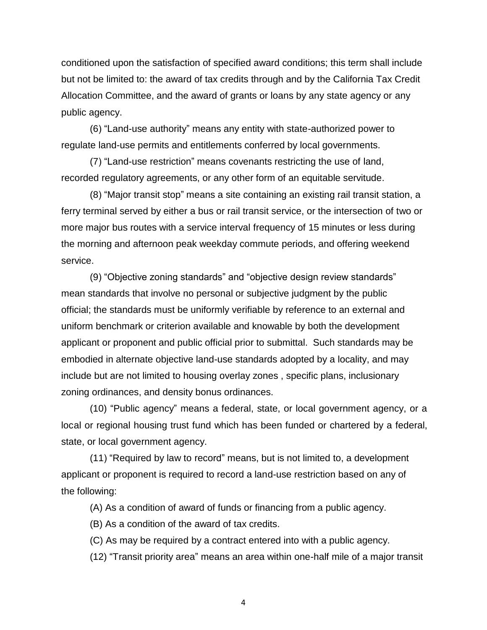conditioned upon the satisfaction of specified award conditions; this term shall include but not be limited to: the award of tax credits through and by the California Tax Credit Allocation Committee, and the award of grants or loans by any state agency or any public agency.

(6) "Land-use authority" means any entity with state-authorized power to regulate land-use permits and entitlements conferred by local governments.

(7) "Land-use restriction" means covenants restricting the use of land, recorded regulatory agreements, or any other form of an equitable servitude.

(8) "Major transit stop" means a site containing an existing rail transit station, a ferry terminal served by either a bus or rail transit service, or the intersection of two or more major bus routes with a service interval frequency of 15 minutes or less during the morning and afternoon peak weekday commute periods, and offering weekend service.

(9) "Objective zoning standards" and "objective design review standards" mean standards that involve no personal or subjective judgment by the public official; the standards must be uniformly verifiable by reference to an external and uniform benchmark or criterion available and knowable by both the development applicant or proponent and public official prior to submittal. Such standards may be embodied in alternate objective land-use standards adopted by a locality, and may include but are not limited to housing overlay zones , specific plans, inclusionary zoning ordinances, and density bonus ordinances.

(10) "Public agency" means a federal, state, or local government agency, or a local or regional housing trust fund which has been funded or chartered by a federal, state, or local government agency.

(11) "Required by law to record" means, but is not limited to, a development applicant or proponent is required to record a land-use restriction based on any of the following:

(A) As a condition of award of funds or financing from a public agency.

(B) As a condition of the award of tax credits.

(C) As may be required by a contract entered into with a public agency.

(12) "Transit priority area" means an area within one-half mile of a major transit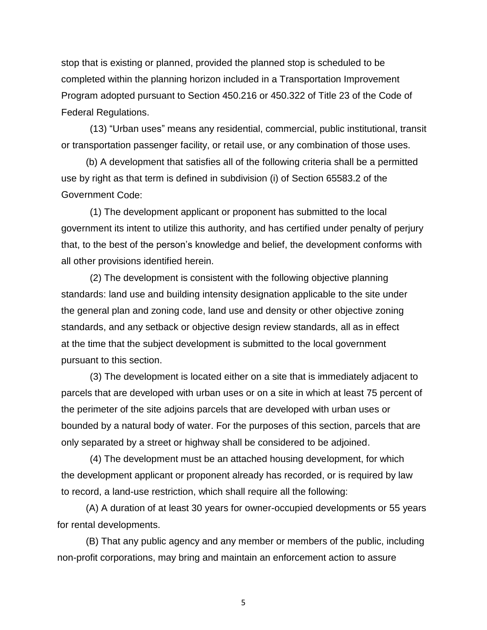stop that is existing or planned, provided the planned stop is scheduled to be completed within the planning horizon included in a Transportation Improvement Program adopted pursuant to Section 450.216 or 450.322 of Title 23 of the Code of Federal Regulations.

(13) "Urban uses" means any residential, commercial, public institutional, transit or transportation passenger facility, or retail use, or any combination of those uses.

(b) A development that satisfies all of the following criteria shall be a permitted use by right as that term is defined in subdivision (i) of Section 65583.2 of the Government Code:

(1) The development applicant or proponent has submitted to the local government its intent to utilize this authority, and has certified under penalty of perjury that, to the best of the person's knowledge and belief, the development conforms with all other provisions identified herein.

(2) The development is consistent with the following objective planning standards: land use and building intensity designation applicable to the site under the general plan and zoning code, land use and density or other objective zoning standards, and any setback or objective design review standards, all as in effect at the time that the subject development is submitted to the local government pursuant to this section.

(3) The development is located either on a site that is immediately adjacent to parcels that are developed with urban uses or on a site in which at least 75 percent of the perimeter of the site adjoins parcels that are developed with urban uses or bounded by a natural body of water. For the purposes of this section, parcels that are only separated by a street or highway shall be considered to be adjoined.

(4) The development must be an attached housing development, for which the development applicant or proponent already has recorded, or is required by law to record, a land-use restriction, which shall require all the following:

(A) A duration of at least 30 years for owner-occupied developments or 55 years for rental developments.

(B) That any public agency and any member or members of the public, including non-profit corporations, may bring and maintain an enforcement action to assure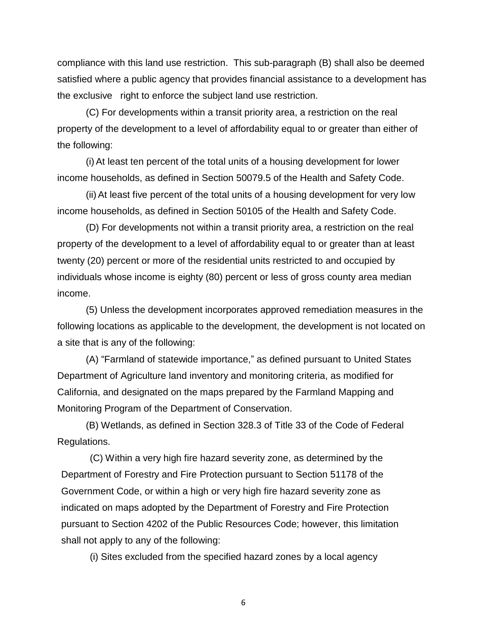compliance with this land use restriction. This sub-paragraph (B) shall also be deemed satisfied where a public agency that provides financial assistance to a development has the exclusive right to enforce the subject land use restriction.

(C) For developments within a transit priority area, a restriction on the real property of the development to a level of affordability equal to or greater than either of the following:

(i) At least ten percent of the total units of a housing development for lower income households, as defined in Section 50079.5 of the Health and Safety Code.

(ii) At least five percent of the total units of a housing development for very low income households, as defined in Section 50105 of the Health and Safety Code.

(D) For developments not within a transit priority area, a restriction on the real property of the development to a level of affordability equal to or greater than at least twenty (20) percent or more of the residential units restricted to and occupied by individuals whose income is eighty (80) percent or less of gross county area median income.

(5) Unless the development incorporates approved remediation measures in the following locations as applicable to the development, the development is not located on a site that is any of the following:

(A) "Farmland of statewide importance," as defined pursuant to United States Department of Agriculture land inventory and monitoring criteria, as modified for California, and designated on the maps prepared by the Farmland Mapping and Monitoring Program of the Department of Conservation.

(B) Wetlands, as defined in Section 328.3 of Title 33 of the Code of Federal Regulations.

(C) Within a very high fire hazard severity zone, as determined by the Department of Forestry and Fire Protection pursuant to Section 51178 of the Government Code, or within a high or very high fire hazard severity zone as indicated on maps adopted by the Department of Forestry and Fire Protection pursuant to Section 4202 of the Public Resources Code; however, this limitation shall not apply to any of the following:

(i) Sites excluded from the specified hazard zones by a local agency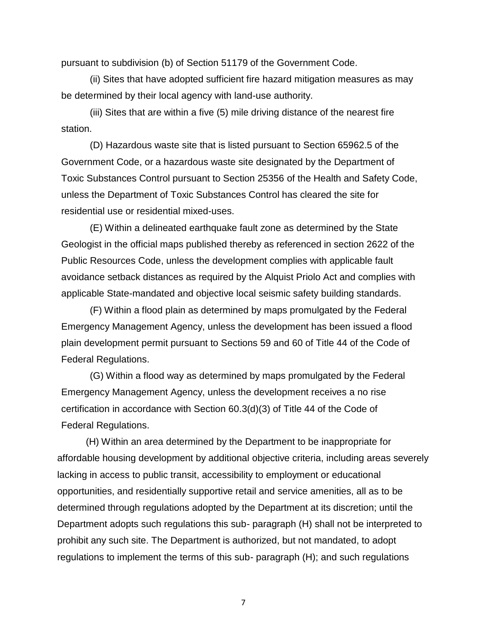pursuant to subdivision (b) of Section 51179 of the Government Code.

(ii) Sites that have adopted sufficient fire hazard mitigation measures as may be determined by their local agency with land-use authority.

(iii) Sites that are within a five (5) mile driving distance of the nearest fire station.

(D) Hazardous waste site that is listed pursuant to Section 65962.5 of the Government Code, or a hazardous waste site designated by the Department of Toxic Substances Control pursuant to Section 25356 of the Health and Safety Code, unless the Department of Toxic Substances Control has cleared the site for residential use or residential mixed-uses.

(E) Within a delineated earthquake fault zone as determined by the State Geologist in the official maps published thereby as referenced in section 2622 of the Public Resources Code, unless the development complies with applicable fault avoidance setback distances as required by the Alquist Priolo Act and complies with applicable State-mandated and objective local seismic safety building standards.

(F) Within a flood plain as determined by maps promulgated by the Federal Emergency Management Agency, unless the development has been issued a flood plain development permit pursuant to Sections 59 and 60 of Title 44 of the Code of Federal Regulations.

(G) Within a flood way as determined by maps promulgated by the Federal Emergency Management Agency, unless the development receives a no rise certification in accordance with Section 60.3(d)(3) of Title 44 of the Code of Federal Regulations.

(H) Within an area determined by the Department to be inappropriate for affordable housing development by additional objective criteria, including areas severely lacking in access to public transit, accessibility to employment or educational opportunities, and residentially supportive retail and service amenities, all as to be determined through regulations adopted by the Department at its discretion; until the Department adopts such regulations this sub- paragraph (H) shall not be interpreted to prohibit any such site. The Department is authorized, but not mandated, to adopt regulations to implement the terms of this sub- paragraph (H); and such regulations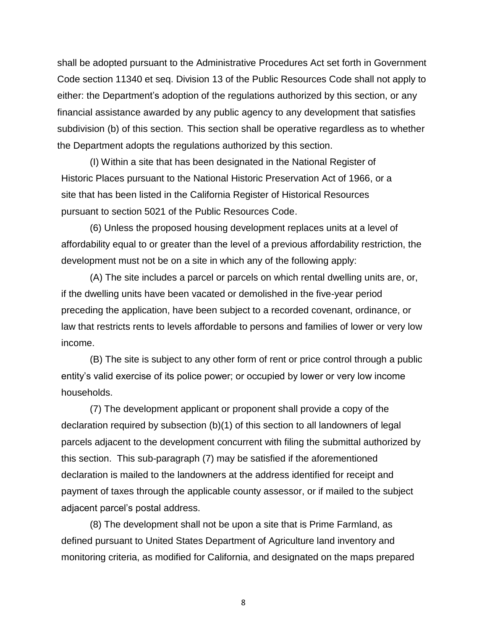shall be adopted pursuant to the Administrative Procedures Act set forth in Government Code section 11340 et seq. Division 13 of the Public Resources Code shall not apply to either: the Department's adoption of the regulations authorized by this section, or any financial assistance awarded by any public agency to any development that satisfies subdivision (b) of this section. This section shall be operative regardless as to whether the Department adopts the regulations authorized by this section.

(I) Within a site that has been designated in the National Register of Historic Places pursuant to the National Historic Preservation Act of 1966, or a site that has been listed in the California Register of Historical Resources pursuant to section 5021 of the Public Resources Code.

(6) Unless the proposed housing development replaces units at a level of affordability equal to or greater than the level of a previous affordability restriction, the development must not be on a site in which any of the following apply:

(A) The site includes a parcel or parcels on which rental dwelling units are, or, if the dwelling units have been vacated or demolished in the five-year period preceding the application, have been subject to a recorded covenant, ordinance, or law that restricts rents to levels affordable to persons and families of lower or very low income.

(B) The site is subject to any other form of rent or price control through a public entity's valid exercise of its police power; or occupied by lower or very low income households.

(7) The development applicant or proponent shall provide a copy of the declaration required by subsection (b)(1) of this section to all landowners of legal parcels adjacent to the development concurrent with filing the submittal authorized by this section. This sub-paragraph (7) may be satisfied if the aforementioned declaration is mailed to the landowners at the address identified for receipt and payment of taxes through the applicable county assessor, or if mailed to the subject adjacent parcel's postal address.

(8) The development shall not be upon a site that is Prime Farmland, as defined pursuant to United States Department of Agriculture land inventory and monitoring criteria, as modified for California, and designated on the maps prepared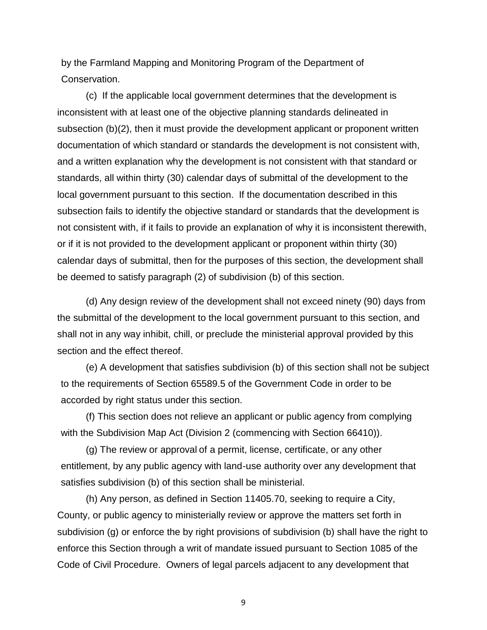by the Farmland Mapping and Monitoring Program of the Department of Conservation.

(c) If the applicable local government determines that the development is inconsistent with at least one of the objective planning standards delineated in subsection (b)(2), then it must provide the development applicant or proponent written documentation of which standard or standards the development is not consistent with, and a written explanation why the development is not consistent with that standard or standards, all within thirty (30) calendar days of submittal of the development to the local government pursuant to this section. If the documentation described in this subsection fails to identify the objective standard or standards that the development is not consistent with, if it fails to provide an explanation of why it is inconsistent therewith, or if it is not provided to the development applicant or proponent within thirty (30) calendar days of submittal, then for the purposes of this section, the development shall be deemed to satisfy paragraph (2) of subdivision (b) of this section.

(d) Any design review of the development shall not exceed ninety (90) days from the submittal of the development to the local government pursuant to this section, and shall not in any way inhibit, chill, or preclude the ministerial approval provided by this section and the effect thereof.

(e) A development that satisfies subdivision (b) of this section shall not be subject to the requirements of Section 65589.5 of the Government Code in order to be accorded by right status under this section.

(f) This section does not relieve an applicant or public agency from complying with the Subdivision Map Act (Division 2 (commencing with Section 66410)).

(g) The review or approval of a permit, license, certificate, or any other entitlement, by any public agency with land-use authority over any development that satisfies subdivision (b) of this section shall be ministerial.

(h) Any person, as defined in Section 11405.70, seeking to require a City, County, or public agency to ministerially review or approve the matters set forth in subdivision (g) or enforce the by right provisions of subdivision (b) shall have the right to enforce this Section through a writ of mandate issued pursuant to Section 1085 of the Code of Civil Procedure. Owners of legal parcels adjacent to any development that